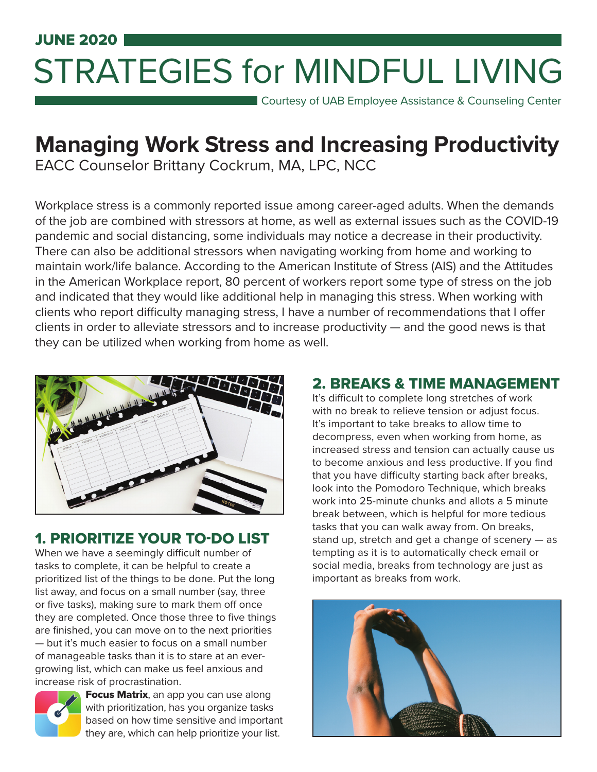# JUNE 2020 STRATEGIES for MINDFUL LIVING

**Courtesy of UAB Employee Assistance & Counseling Center** 

# **Managing Work Stress and Increasing Productivity**

EACC Counselor Brittany Cockrum, MA, LPC, NCC

Workplace stress is a commonly reported issue among career-aged adults. When the demands of the job are combined with stressors at home, as well as external issues such as the COVID-19 pandemic and social distancing, some individuals may notice a decrease in their productivity. There can also be additional stressors when navigating working from home and working to maintain work/life balance. According to the American Institute of Stress (AIS) and the Attitudes in the American Workplace report, 80 percent of workers report some type of stress on the job and indicated that they would like additional help in managing this stress. When working with clients who report difficulty managing stress, I have a number of recommendations that I offer clients in order to alleviate stressors and to increase productivity — and the good news is that they can be utilized when working from home as well.



## 1. PRIORITIZE YOUR TO-DO LIST

When we have a seemingly difficult number of tasks to complete, it can be helpful to create a prioritized list of the things to be done. Put the long list away, and focus on a small number (say, three or five tasks), making sure to mark them off once they are completed. Once those three to five things are finished, you can move on to the next priorities — but it's much easier to focus on a small number

of manageable tasks than it is to stare at an evergrowing list, which can make us feel anxious and increase risk of procrastination.



**Focus Matrix**, an app you can use along with prioritization, has you organize tasks based on how time sensitive and important they are, which can help prioritize your list.

#### 2. BREAKS & TIME MANAGEMENT

It's difficult to complete long stretches of work with no break to relieve tension or adjust focus. It's important to take breaks to allow time to decompress, even when working from home, as increased stress and tension can actually cause us to become anxious and less productive. If you find that you have difficulty starting back after breaks, look into the Pomodoro Technique, which breaks work into 25-minute chunks and allots a 5 minute break between, which is helpful for more tedious tasks that you can walk away from. On breaks, stand up, stretch and get a change of scenery — as tempting as it is to automatically check email or social media, breaks from technology are just as important as breaks from work.